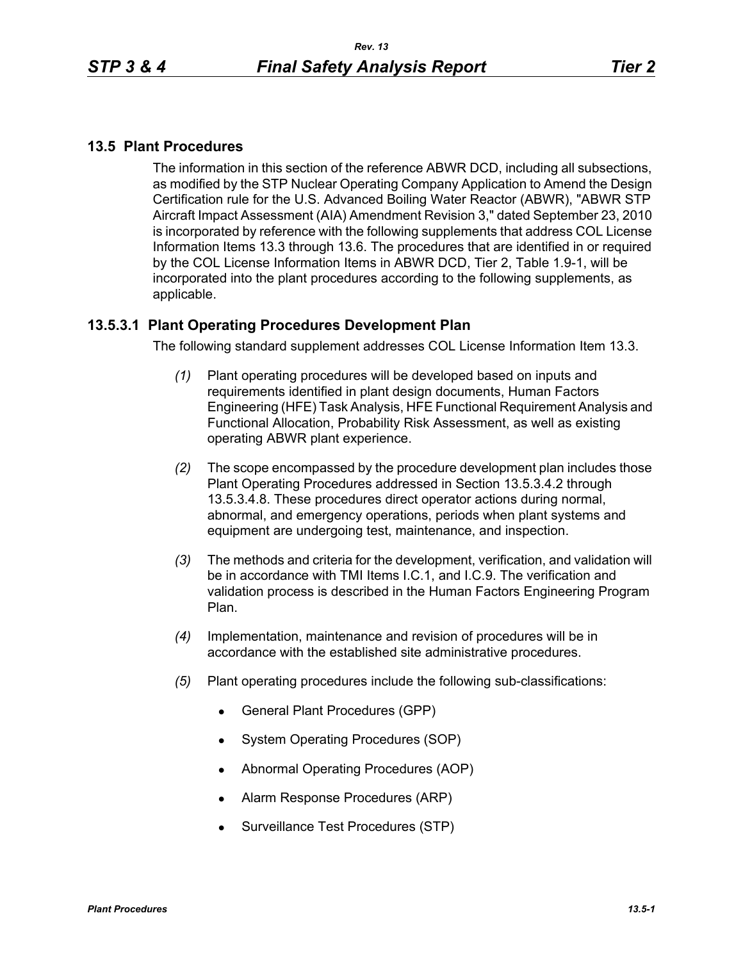### **13.5 Plant Procedures**

The information in this section of the reference ABWR DCD, including all subsections, as modified by the STP Nuclear Operating Company Application to Amend the Design Certification rule for the U.S. Advanced Boiling Water Reactor (ABWR), "ABWR STP Aircraft Impact Assessment (AIA) Amendment Revision 3," dated September 23, 2010 is incorporated by reference with the following supplements that address COL License Information Items 13.3 through 13.6. The procedures that are identified in or required by the COL License Information Items in ABWR DCD, Tier 2, Table 1.9-1, will be incorporated into the plant procedures according to the following supplements, as applicable.

## **13.5.3.1 Plant Operating Procedures Development Plan**

The following standard supplement addresses COL License Information Item 13.3.

- *(1)* Plant operating procedures will be developed based on inputs and requirements identified in plant design documents, Human Factors Engineering (HFE) Task Analysis, HFE Functional Requirement Analysis and Functional Allocation, Probability Risk Assessment, as well as existing operating ABWR plant experience.
- *(2)* The scope encompassed by the procedure development plan includes those Plant Operating Procedures addressed in Section 13.5.3.4.2 through 13.5.3.4.8. These procedures direct operator actions during normal, abnormal, and emergency operations, periods when plant systems and equipment are undergoing test, maintenance, and inspection.
- *(3)* The methods and criteria for the development, verification, and validation will be in accordance with TMI Items I.C.1, and I.C.9. The verification and validation process is described in the Human Factors Engineering Program Plan.
- *(4)* Implementation, maintenance and revision of procedures will be in accordance with the established site administrative procedures.
- *(5)* Plant operating procedures include the following sub-classifications:
	- General Plant Procedures (GPP)
	- System Operating Procedures (SOP)
	- Abnormal Operating Procedures (AOP)
	- Alarm Response Procedures (ARP)
	- Surveillance Test Procedures (STP)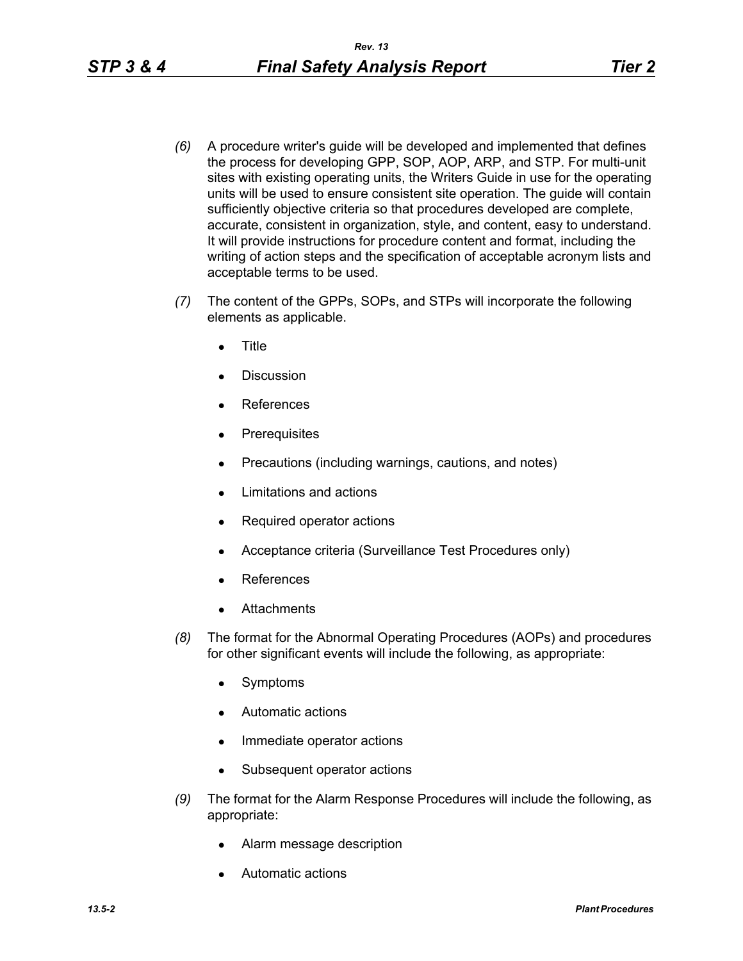- *(6)* A procedure writer's guide will be developed and implemented that defines the process for developing GPP, SOP, AOP, ARP, and STP. For multi-unit sites with existing operating units, the Writers Guide in use for the operating units will be used to ensure consistent site operation. The guide will contain sufficiently objective criteria so that procedures developed are complete, accurate, consistent in organization, style, and content, easy to understand. It will provide instructions for procedure content and format, including the writing of action steps and the specification of acceptable acronym lists and acceptable terms to be used.
- *(7)* The content of the GPPs, SOPs, and STPs will incorporate the following elements as applicable.
	- **Title**
	- Discussion
	- References
	- **Prerequisites**
	- Precautions (including warnings, cautions, and notes)
	- Limitations and actions
	- Required operator actions
	- Acceptance criteria (Surveillance Test Procedures only)
	- References
	- **Attachments**
- *(8)* The format for the Abnormal Operating Procedures (AOPs) and procedures for other significant events will include the following, as appropriate:
	- Symptoms
	- Automatic actions
	- Immediate operator actions
	- Subsequent operator actions
- *(9)* The format for the Alarm Response Procedures will include the following, as appropriate:
	- Alarm message description
	- Automatic actions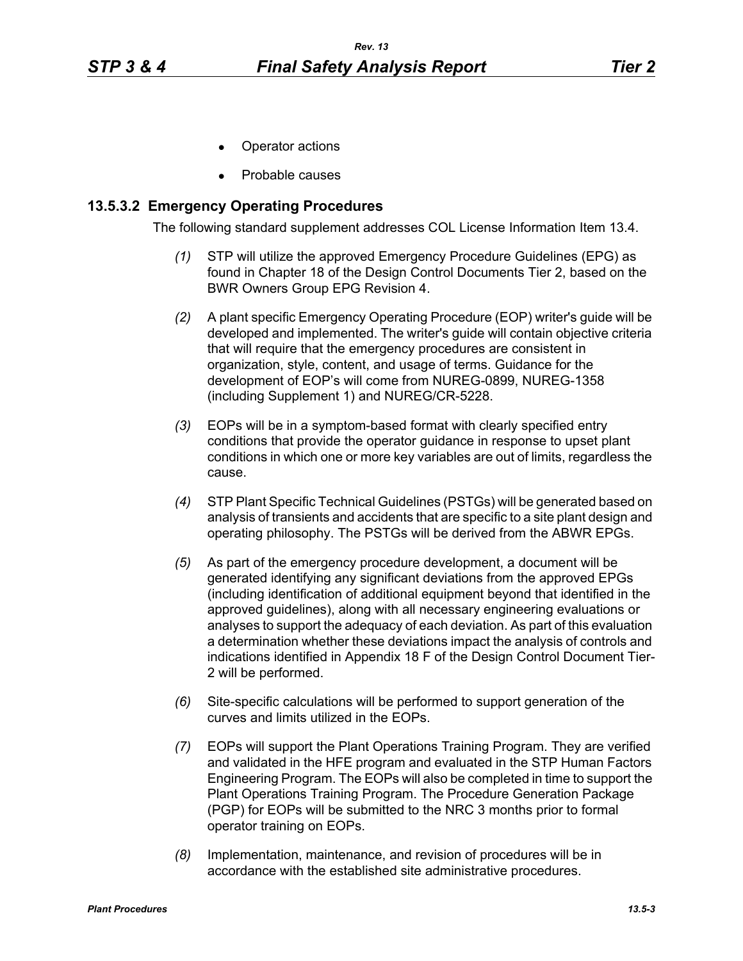- Operator actions
- Probable causes

#### **13.5.3.2 Emergency Operating Procedures**

The following standard supplement addresses COL License Information Item 13.4.

- *(1)* STP will utilize the approved Emergency Procedure Guidelines (EPG) as found in Chapter 18 of the Design Control Documents Tier 2, based on the BWR Owners Group EPG Revision 4.
- *(2)* A plant specific Emergency Operating Procedure (EOP) writer's guide will be developed and implemented. The writer's guide will contain objective criteria that will require that the emergency procedures are consistent in organization, style, content, and usage of terms. Guidance for the development of EOP's will come from NUREG-0899, NUREG-1358 (including Supplement 1) and NUREG/CR-5228.
- *(3)* EOPs will be in a symptom-based format with clearly specified entry conditions that provide the operator guidance in response to upset plant conditions in which one or more key variables are out of limits, regardless the cause.
- *(4)* STP Plant Specific Technical Guidelines (PSTGs) will be generated based on analysis of transients and accidents that are specific to a site plant design and operating philosophy. The PSTGs will be derived from the ABWR EPGs.
- *(5)* As part of the emergency procedure development, a document will be generated identifying any significant deviations from the approved EPGs (including identification of additional equipment beyond that identified in the approved guidelines), along with all necessary engineering evaluations or analyses to support the adequacy of each deviation. As part of this evaluation a determination whether these deviations impact the analysis of controls and indications identified in Appendix 18 F of the Design Control Document Tier-2 will be performed.
- *(6)* Site-specific calculations will be performed to support generation of the curves and limits utilized in the EOPs.
- *(7)* EOPs will support the Plant Operations Training Program. They are verified and validated in the HFE program and evaluated in the STP Human Factors Engineering Program. The EOPs will also be completed in time to support the Plant Operations Training Program. The Procedure Generation Package (PGP) for EOPs will be submitted to the NRC 3 months prior to formal operator training on EOPs.
- *(8)* Implementation, maintenance, and revision of procedures will be in accordance with the established site administrative procedures.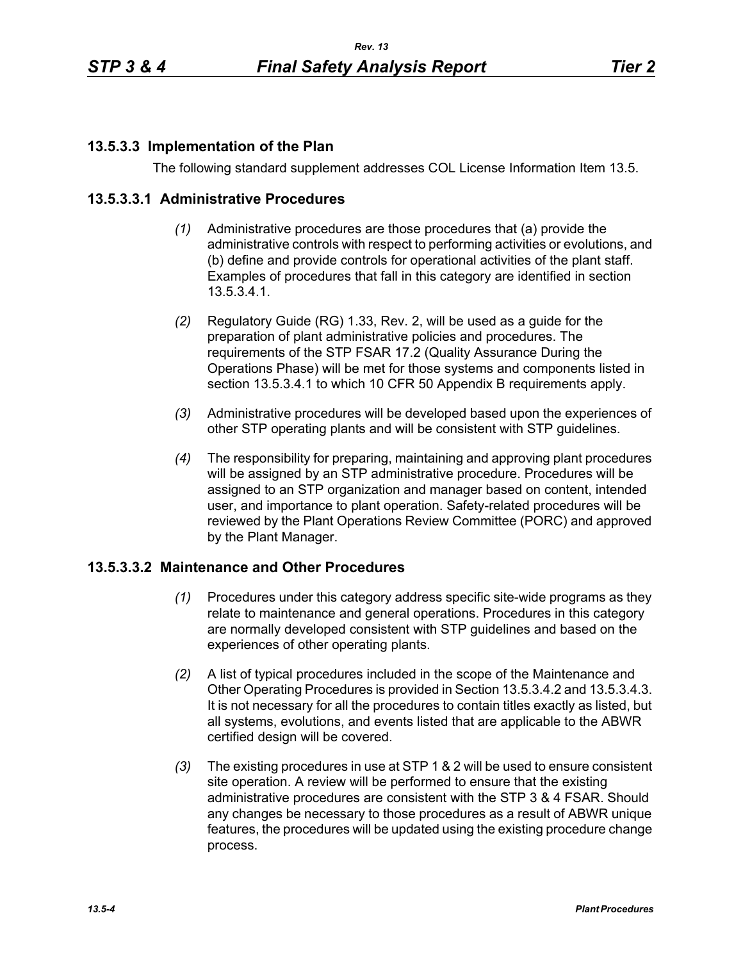# **13.5.3.3 Implementation of the Plan**

The following standard supplement addresses COL License Information Item 13.5.

### **13.5.3.3.1 Administrative Procedures**

- *(1)* Administrative procedures are those procedures that (a) provide the administrative controls with respect to performing activities or evolutions, and (b) define and provide controls for operational activities of the plant staff. Examples of procedures that fall in this category are identified in section 13.5.3.4.1.
- *(2)* Regulatory Guide (RG) 1.33, Rev. 2, will be used as a guide for the preparation of plant administrative policies and procedures. The requirements of the STP FSAR 17.2 (Quality Assurance During the Operations Phase) will be met for those systems and components listed in section 13.5.3.4.1 to which 10 CFR 50 Appendix B requirements apply.
- *(3)* Administrative procedures will be developed based upon the experiences of other STP operating plants and will be consistent with STP guidelines.
- *(4)* The responsibility for preparing, maintaining and approving plant procedures will be assigned by an STP administrative procedure. Procedures will be assigned to an STP organization and manager based on content, intended user, and importance to plant operation. Safety-related procedures will be reviewed by the Plant Operations Review Committee (PORC) and approved by the Plant Manager.

### **13.5.3.3.2 Maintenance and Other Procedures**

- *(1)* Procedures under this category address specific site-wide programs as they relate to maintenance and general operations. Procedures in this category are normally developed consistent with STP guidelines and based on the experiences of other operating plants.
- *(2)* A list of typical procedures included in the scope of the Maintenance and Other Operating Procedures is provided in Section 13.5.3.4.2 and 13.5.3.4.3. It is not necessary for all the procedures to contain titles exactly as listed, but all systems, evolutions, and events listed that are applicable to the ABWR certified design will be covered.
- *(3)* The existing procedures in use at STP 1 & 2 will be used to ensure consistent site operation. A review will be performed to ensure that the existing administrative procedures are consistent with the STP 3 & 4 FSAR. Should any changes be necessary to those procedures as a result of ABWR unique features, the procedures will be updated using the existing procedure change process.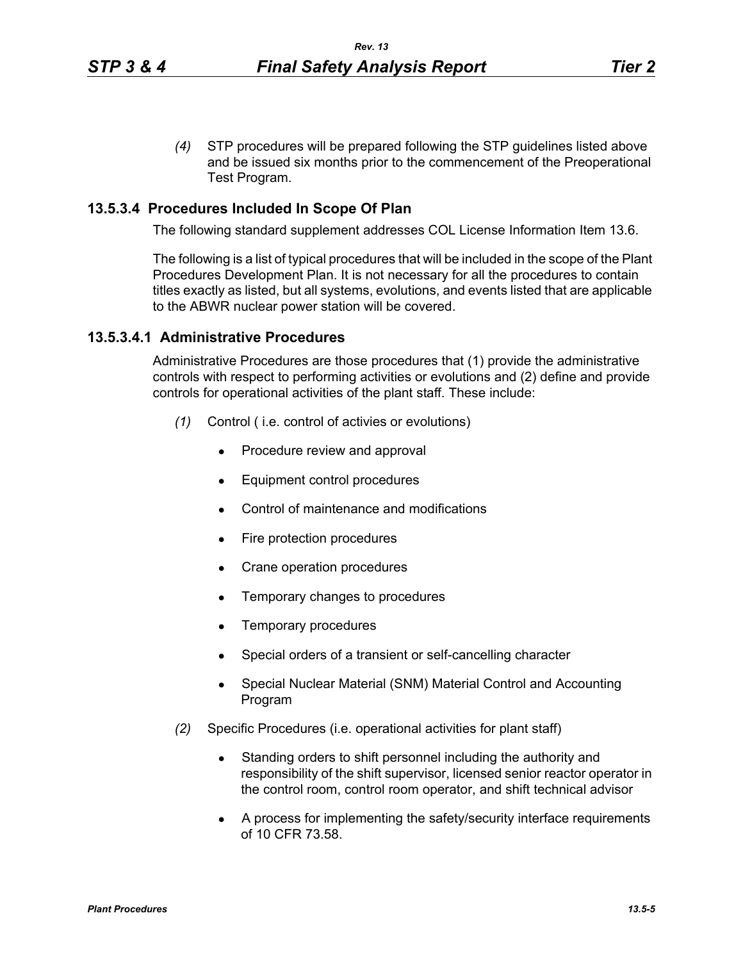*(4)* STP procedures will be prepared following the STP guidelines listed above and be issued six months prior to the commencement of the Preoperational Test Program.

#### **13.5.3.4 Procedures Included In Scope Of Plan**

The following standard supplement addresses COL License Information Item 13.6.

The following is a list of typical procedures that will be included in the scope of the Plant Procedures Development Plan. It is not necessary for all the procedures to contain titles exactly as listed, but all systems, evolutions, and events listed that are applicable to the ABWR nuclear power station will be covered.

#### **13.5.3.4.1 Administrative Procedures**

Administrative Procedures are those procedures that (1) provide the administrative controls with respect to performing activities or evolutions and (2) define and provide controls for operational activities of the plant staff. These include:

- *(1)* Control ( i.e. control of activies or evolutions)
	- Procedure review and approval
	- Equipment control procedures
	- Control of maintenance and modifications
	- Fire protection procedures
	- Crane operation procedures
	- Temporary changes to procedures
	- Temporary procedures
	- Special orders of a transient or self-cancelling character
	- Special Nuclear Material (SNM) Material Control and Accounting Program
- *(2)* Specific Procedures (i.e. operational activities for plant staff)
	- Standing orders to shift personnel including the authority and responsibility of the shift supervisor, licensed senior reactor operator in the control room, control room operator, and shift technical advisor
	- A process for implementing the safety/security interface requirements of 10 CFR 73.58.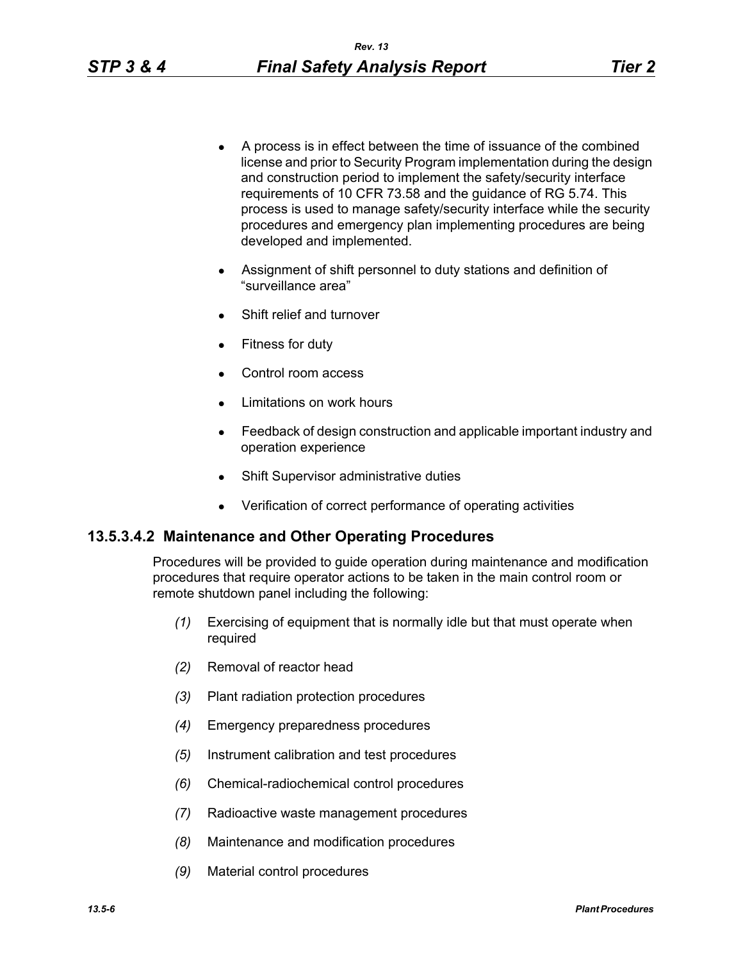- A process is in effect between the time of issuance of the combined license and prior to Security Program implementation during the design and construction period to implement the safety/security interface requirements of 10 CFR 73.58 and the guidance of RG 5.74. This process is used to manage safety/security interface while the security procedures and emergency plan implementing procedures are being developed and implemented.
- Assignment of shift personnel to duty stations and definition of "surveillance area"
- Shift relief and turnover
- Fitness for duty
- Control room access
- Limitations on work hours
- Feedback of design construction and applicable important industry and operation experience
- Shift Supervisor administrative duties
- Verification of correct performance of operating activities

## **13.5.3.4.2 Maintenance and Other Operating Procedures**

Procedures will be provided to guide operation during maintenance and modification procedures that require operator actions to be taken in the main control room or remote shutdown panel including the following:

- *(1)* Exercising of equipment that is normally idle but that must operate when required
- *(2)* Removal of reactor head
- *(3)* Plant radiation protection procedures
- *(4)* Emergency preparedness procedures
- *(5)* Instrument calibration and test procedures
- *(6)* Chemical-radiochemical control procedures
- *(7)* Radioactive waste management procedures
- *(8)* Maintenance and modification procedures
- *(9)* Material control procedures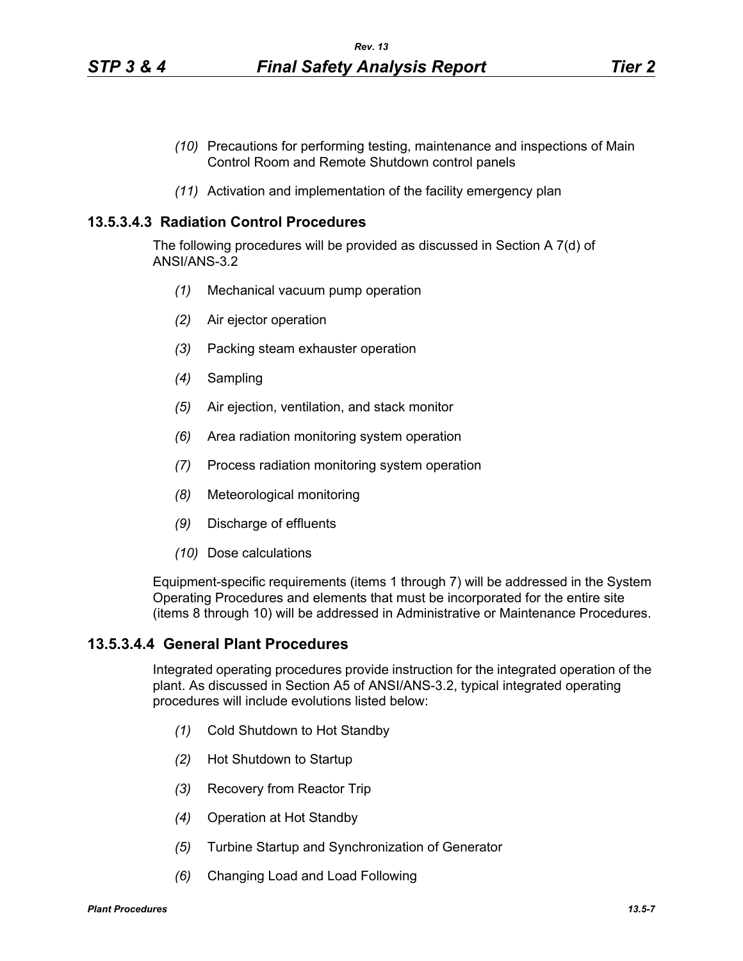- *(10)* Precautions for performing testing, maintenance and inspections of Main Control Room and Remote Shutdown control panels
- *(11)* Activation and implementation of the facility emergency plan

#### **13.5.3.4.3 Radiation Control Procedures**

The following procedures will be provided as discussed in Section A 7(d) of ANSI/ANS-3.2

- *(1)* Mechanical vacuum pump operation
- *(2)* Air ejector operation
- *(3)* Packing steam exhauster operation
- *(4)* Sampling
- *(5)* Air ejection, ventilation, and stack monitor
- *(6)* Area radiation monitoring system operation
- *(7)* Process radiation monitoring system operation
- *(8)* Meteorological monitoring
- *(9)* Discharge of effluents
- *(10)* Dose calculations

Equipment-specific requirements (items 1 through 7) will be addressed in the System Operating Procedures and elements that must be incorporated for the entire site (items 8 through 10) will be addressed in Administrative or Maintenance Procedures.

### **13.5.3.4.4 General Plant Procedures**

Integrated operating procedures provide instruction for the integrated operation of the plant. As discussed in Section A5 of ANSI/ANS-3.2, typical integrated operating procedures will include evolutions listed below:

- *(1)* Cold Shutdown to Hot Standby
- *(2)* Hot Shutdown to Startup
- *(3)* Recovery from Reactor Trip
- *(4)* Operation at Hot Standby
- *(5)* Turbine Startup and Synchronization of Generator
- *(6)* Changing Load and Load Following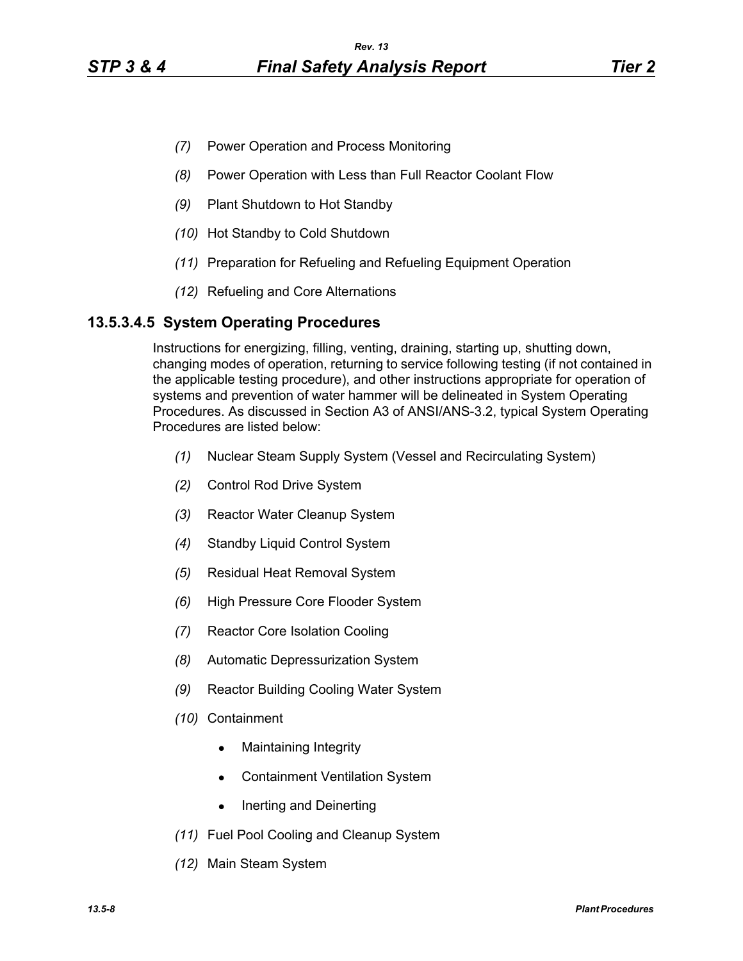- *(7)* Power Operation and Process Monitoring
- *(8)* Power Operation with Less than Full Reactor Coolant Flow
- *(9)* Plant Shutdown to Hot Standby
- *(10)* Hot Standby to Cold Shutdown
- *(11)* Preparation for Refueling and Refueling Equipment Operation
- *(12)* Refueling and Core Alternations

## **13.5.3.4.5 System Operating Procedures**

Instructions for energizing, filling, venting, draining, starting up, shutting down, changing modes of operation, returning to service following testing (if not contained in the applicable testing procedure), and other instructions appropriate for operation of systems and prevention of water hammer will be delineated in System Operating Procedures. As discussed in Section A3 of ANSI/ANS-3.2, typical System Operating Procedures are listed below:

- *(1)* Nuclear Steam Supply System (Vessel and Recirculating System)
- *(2)* Control Rod Drive System
- *(3)* Reactor Water Cleanup System
- *(4)* Standby Liquid Control System
- *(5)* Residual Heat Removal System
- *(6)* High Pressure Core Flooder System
- *(7)* Reactor Core Isolation Cooling
- *(8)* Automatic Depressurization System
- *(9)* Reactor Building Cooling Water System
- *(10)* Containment
	- Maintaining Integrity
	- Containment Ventilation System
	- Inerting and Deinerting
- *(11)* Fuel Pool Cooling and Cleanup System
- *(12)* Main Steam System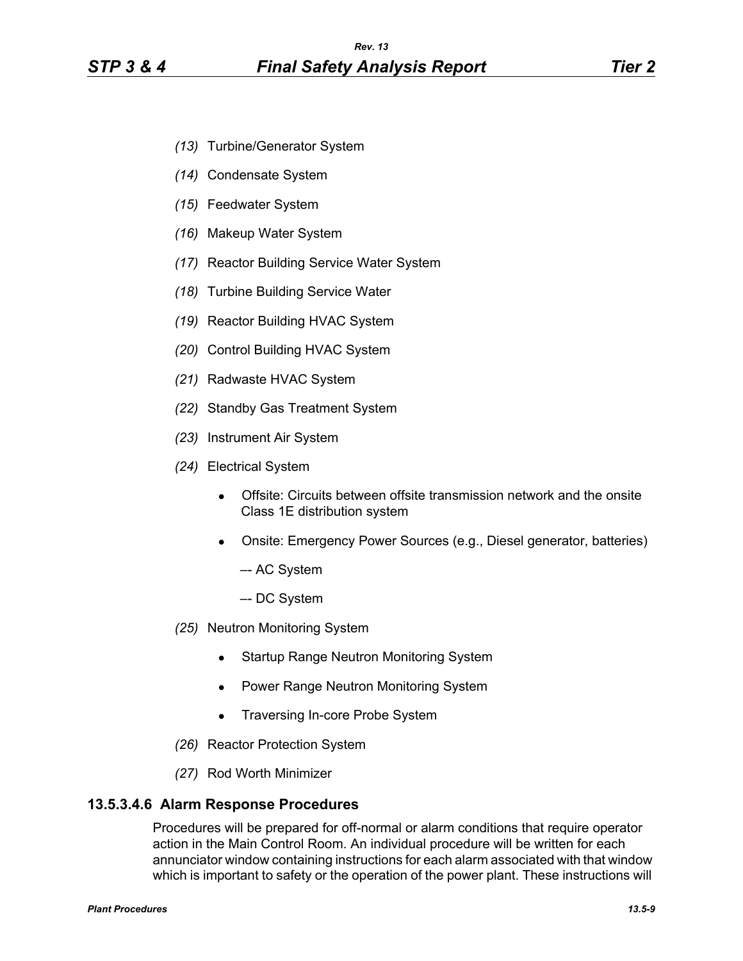- *(13)* Turbine/Generator System
- *(14)* Condensate System
- *(15)* Feedwater System
- *(16)* Makeup Water System
- *(17)* Reactor Building Service Water System
- *(18)* Turbine Building Service Water
- *(19)* Reactor Building HVAC System
- *(20)* Control Building HVAC System
- *(21)* Radwaste HVAC System
- *(22)* Standby Gas Treatment System
- *(23)* Instrument Air System
- *(24)* Electrical System
	- Offsite: Circuits between offsite transmission network and the onsite Class 1E distribution system
	- Onsite: Emergency Power Sources (e.g., Diesel generator, batteries)
		- –- AC System
		- –- DC System
- *(25)* Neutron Monitoring System
	- Startup Range Neutron Monitoring System
	- Power Range Neutron Monitoring System
	- Traversing In-core Probe System
- *(26)* Reactor Protection System
- *(27)* Rod Worth Minimizer

### **13.5.3.4.6 Alarm Response Procedures**

Procedures will be prepared for off-normal or alarm conditions that require operator action in the Main Control Room. An individual procedure will be written for each annunciator window containing instructions for each alarm associated with that window which is important to safety or the operation of the power plant. These instructions will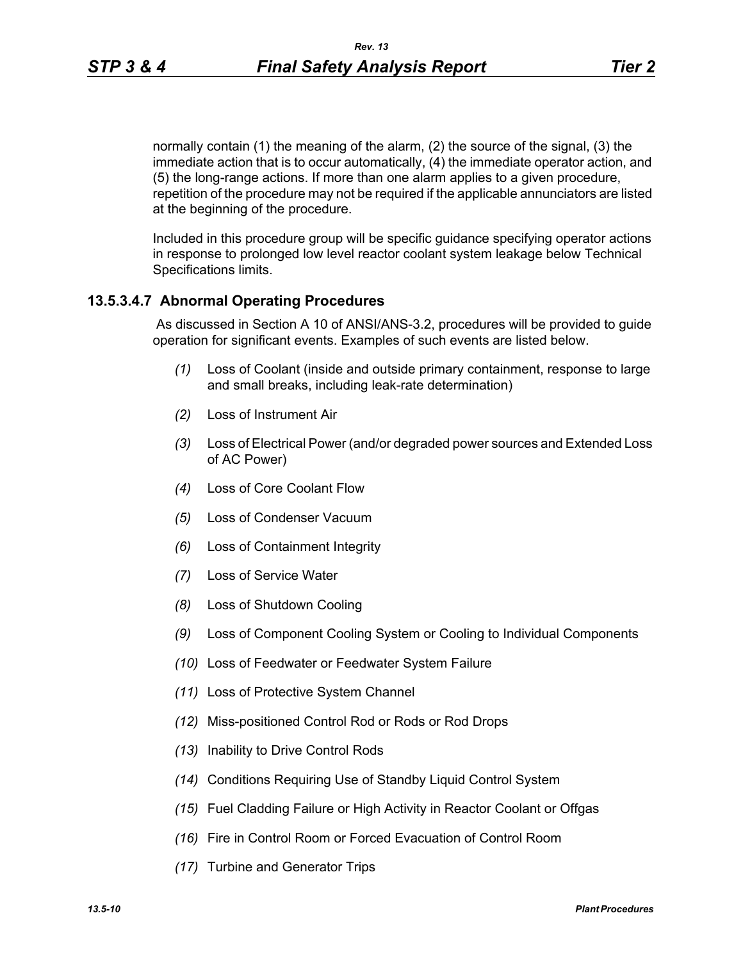normally contain (1) the meaning of the alarm, (2) the source of the signal, (3) the immediate action that is to occur automatically, (4) the immediate operator action, and (5) the long-range actions. If more than one alarm applies to a given procedure, repetition of the procedure may not be required if the applicable annunciators are listed at the beginning of the procedure.

Included in this procedure group will be specific guidance specifying operator actions in response to prolonged low level reactor coolant system leakage below Technical Specifications limits.

### **13.5.3.4.7 Abnormal Operating Procedures**

 As discussed in Section A 10 of ANSI/ANS-3.2, procedures will be provided to guide operation for significant events. Examples of such events are listed below.

- *(1)* Loss of Coolant (inside and outside primary containment, response to large and small breaks, including leak-rate determination)
- *(2)* Loss of Instrument Air
- *(3)* Loss of Electrical Power (and/or degraded power sources and Extended Loss of AC Power)
- *(4)* Loss of Core Coolant Flow
- *(5)* Loss of Condenser Vacuum
- *(6)* Loss of Containment Integrity
- *(7)* Loss of Service Water
- *(8)* Loss of Shutdown Cooling
- *(9)* Loss of Component Cooling System or Cooling to Individual Components
- *(10)* Loss of Feedwater or Feedwater System Failure
- *(11)* Loss of Protective System Channel
- *(12)* Miss-positioned Control Rod or Rods or Rod Drops
- *(13)* Inability to Drive Control Rods
- *(14)* Conditions Requiring Use of Standby Liquid Control System
- *(15)* Fuel Cladding Failure or High Activity in Reactor Coolant or Offgas
- *(16)* Fire in Control Room or Forced Evacuation of Control Room
- *(17)* Turbine and Generator Trips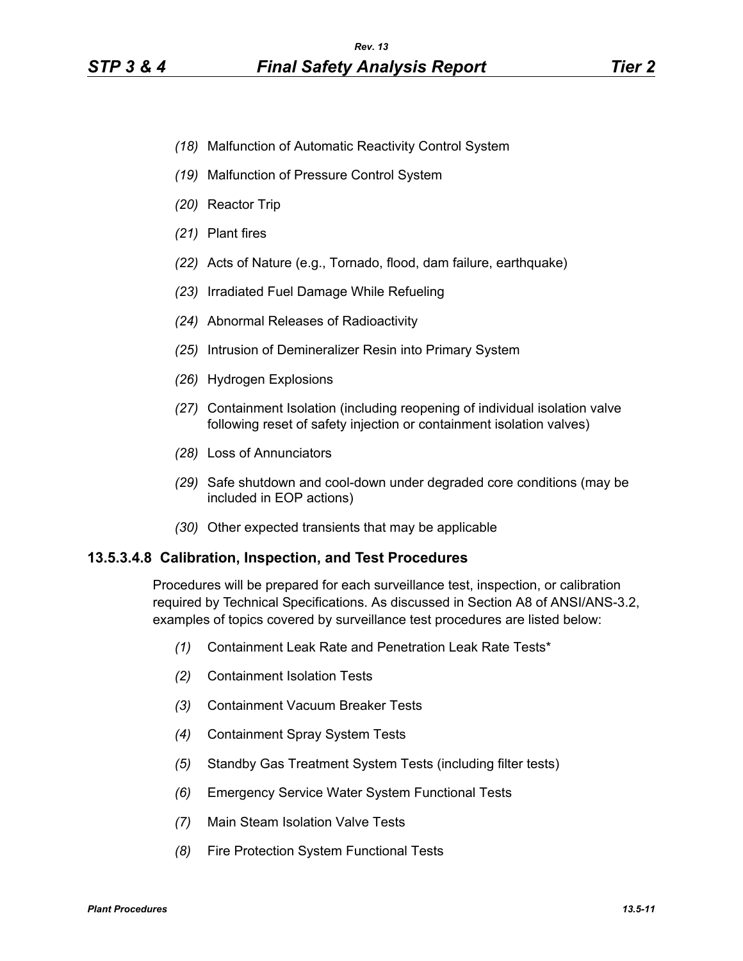- *(18)* Malfunction of Automatic Reactivity Control System
- *(19)* Malfunction of Pressure Control System
- *(20)* Reactor Trip
- *(21)* Plant fires
- *(22)* Acts of Nature (e.g., Tornado, flood, dam failure, earthquake)
- *(23)* Irradiated Fuel Damage While Refueling
- *(24)* Abnormal Releases of Radioactivity
- *(25)* Intrusion of Demineralizer Resin into Primary System
- *(26)* Hydrogen Explosions
- *(27)* Containment Isolation (including reopening of individual isolation valve following reset of safety injection or containment isolation valves)
- *(28)* Loss of Annunciators
- *(29)* Safe shutdown and cool-down under degraded core conditions (may be included in EOP actions)
- *(30)* Other expected transients that may be applicable

#### **13.5.3.4.8 Calibration, Inspection, and Test Procedures**

Procedures will be prepared for each surveillance test, inspection, or calibration required by Technical Specifications. As discussed in Section A8 of ANSI/ANS-3.2, examples of topics covered by surveillance test procedures are listed below:

- *(1)* Containment Leak Rate and Penetration Leak Rate Tests\*
- *(2)* Containment Isolation Tests
- *(3)* Containment Vacuum Breaker Tests
- *(4)* Containment Spray System Tests
- *(5)* Standby Gas Treatment System Tests (including filter tests)
- *(6)* Emergency Service Water System Functional Tests
- *(7)* Main Steam Isolation Valve Tests
- *(8)* Fire Protection System Functional Tests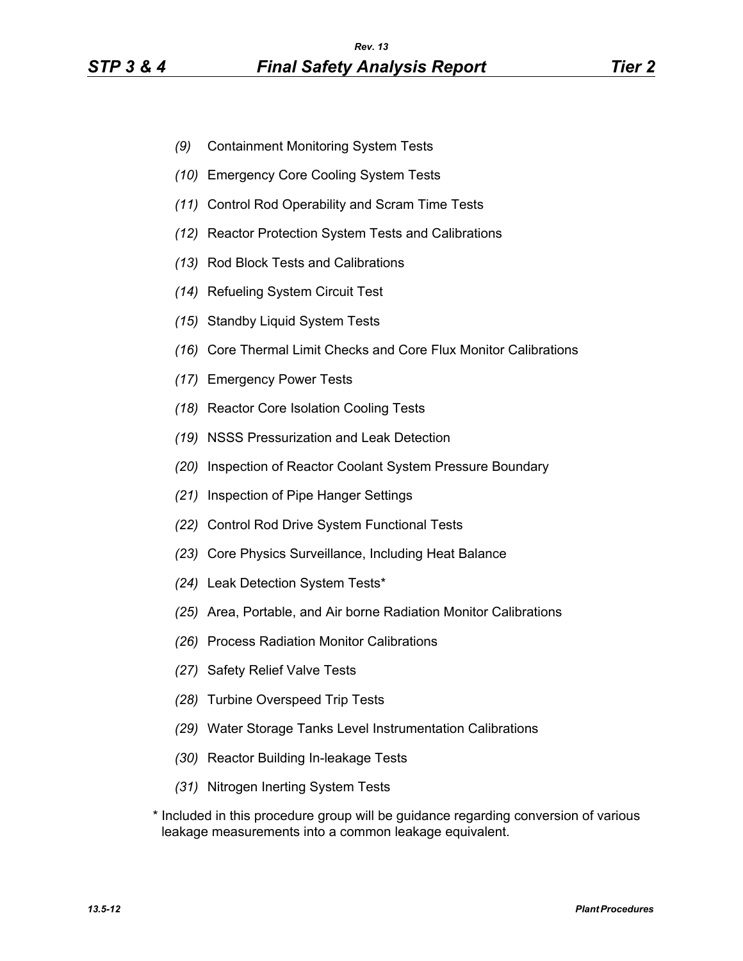- *(9)* Containment Monitoring System Tests
- *(10)* Emergency Core Cooling System Tests
- *(11)* Control Rod Operability and Scram Time Tests
- *(12)* Reactor Protection System Tests and Calibrations
- *(13)* Rod Block Tests and Calibrations
- *(14)* Refueling System Circuit Test
- *(15)* Standby Liquid System Tests
- *(16)* Core Thermal Limit Checks and Core Flux Monitor Calibrations
- *(17)* Emergency Power Tests
- *(18)* Reactor Core Isolation Cooling Tests
- *(19)* NSSS Pressurization and Leak Detection
- *(20)* Inspection of Reactor Coolant System Pressure Boundary
- *(21)* Inspection of Pipe Hanger Settings
- *(22)* Control Rod Drive System Functional Tests
- *(23)* Core Physics Surveillance, Including Heat Balance
- *(24)* Leak Detection System Tests\*
- *(25)* Area, Portable, and Air borne Radiation Monitor Calibrations
- *(26)* Process Radiation Monitor Calibrations
- *(27)* Safety Relief Valve Tests
- *(28)* Turbine Overspeed Trip Tests
- *(29)* Water Storage Tanks Level Instrumentation Calibrations
- *(30)* Reactor Building In-leakage Tests
- *(31)* Nitrogen Inerting System Tests
- \* Included in this procedure group will be guidance regarding conversion of various leakage measurements into a common leakage equivalent.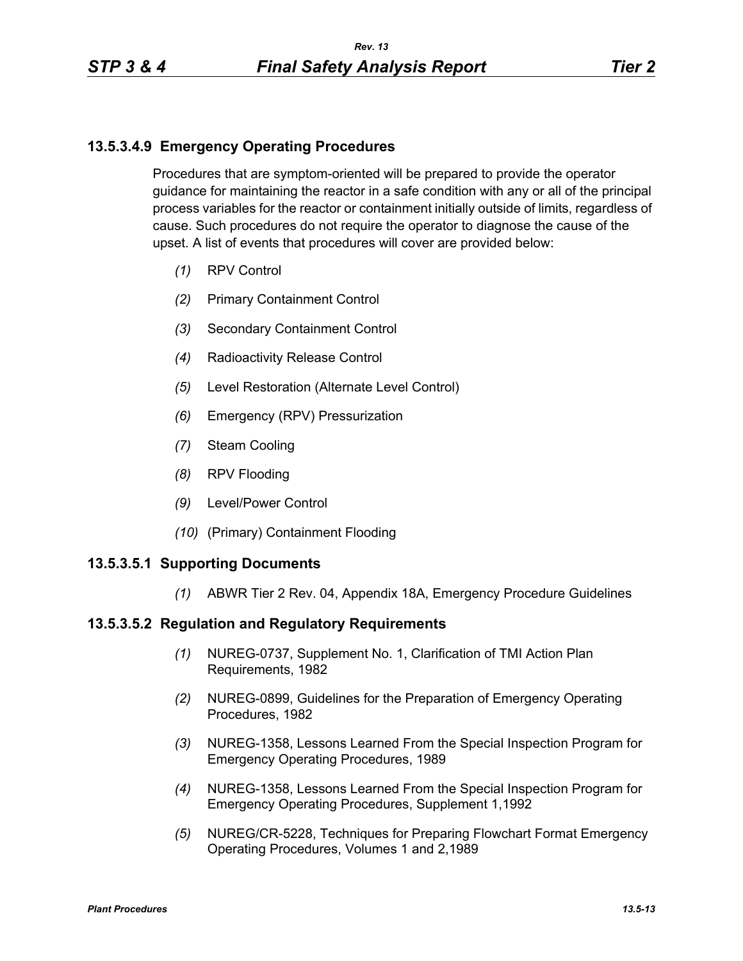# **13.5.3.4.9 Emergency Operating Procedures**

Procedures that are symptom-oriented will be prepared to provide the operator guidance for maintaining the reactor in a safe condition with any or all of the principal process variables for the reactor or containment initially outside of limits, regardless of cause. Such procedures do not require the operator to diagnose the cause of the upset. A list of events that procedures will cover are provided below:

- *(1)* RPV Control
- *(2)* Primary Containment Control
- *(3)* Secondary Containment Control
- *(4)* Radioactivity Release Control
- *(5)* Level Restoration (Alternate Level Control)
- *(6)* Emergency (RPV) Pressurization
- *(7)* Steam Cooling
- *(8)* RPV Flooding
- *(9)* Level/Power Control
- *(10)* (Primary) Containment Flooding

### **13.5.3.5.1 Supporting Documents**

*(1)* ABWR Tier 2 Rev. 04, Appendix 18A, Emergency Procedure Guidelines

### **13.5.3.5.2 Regulation and Regulatory Requirements**

- *(1)* NUREG-0737, Supplement No. 1, Clarification of TMI Action Plan Requirements, 1982
- *(2)* NUREG-0899, Guidelines for the Preparation of Emergency Operating Procedures, 1982
- *(3)* NUREG-1358, Lessons Learned From the Special Inspection Program for Emergency Operating Procedures, 1989
- *(4)* NUREG-1358, Lessons Learned From the Special Inspection Program for Emergency Operating Procedures, Supplement 1,1992
- *(5)* NUREG/CR-5228, Techniques for Preparing Flowchart Format Emergency Operating Procedures, Volumes 1 and 2,1989